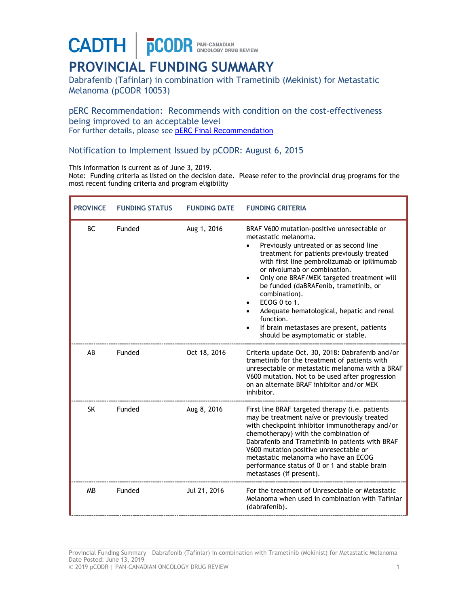**CADTH** | **pCODR** PAN-CANADIAN

## **PROVINCIAL FUNDING SUMMARY**

Dabrafenib (Tafinlar) in combination with Trametinib (Mekinist) for Metastatic Melanoma (pCODR 10053)

pERC Recommendation: Recommends with condition on the cost-effectiveness being improved to an acceptable level For further details, please see **[pERC Final Recommendation](https://www.cadth.ca/sites/default/files/pcodr/pcodr_tafinlar_mekinist_metmelanoma_fn_rec.pdf)** 

Notification to Implement Issued by pCODR: August 6, 2015

This information is current as of June 3, 2019.

Note: Funding criteria as listed on the decision date. Please refer to the provincial drug programs for the most recent funding criteria and program eligibility

| <b>PROVINCE</b> | <b>FUNDING STATUS</b> | <b>FUNDING DATE</b> | <b>FUNDING CRITERIA</b>                                                                                                                                                                                                                                                                                                                                                                                                                                                                                                   |
|-----------------|-----------------------|---------------------|---------------------------------------------------------------------------------------------------------------------------------------------------------------------------------------------------------------------------------------------------------------------------------------------------------------------------------------------------------------------------------------------------------------------------------------------------------------------------------------------------------------------------|
| <b>BC</b>       | <b>Funded</b>         | Aug 1, 2016         | BRAF V600 mutation-positive unresectable or<br>metastatic melanoma.<br>Previously untreated or as second line<br>treatment for patients previously treated<br>with first line pembrolizumab or ipilimumab<br>or nivolumab or combination.<br>Only one BRAF/MEK targeted treatment will<br>$\bullet$<br>be funded (daBRAFenib, trametinib, or<br>combination).<br>ECOG 0 to 1.<br>Adequate hematological, hepatic and renal<br>function.<br>If brain metastases are present, patients<br>should be asymptomatic or stable. |
| AB              | Funded                | Oct 18, 2016        | Criteria update Oct. 30, 2018: Dabrafenib and/or<br>trametinib for the treatment of patients with<br>unresectable or metastatic melanoma with a BRAF<br>V600 mutation. Not to be used after progression<br>on an alternate BRAF inhibitor and/or MEK<br>inhibitor.                                                                                                                                                                                                                                                        |
| <b>SK</b>       | Funded                | Aug 8, 2016         | First line BRAF targeted therapy (i.e. patients<br>may be treatment naïve or previously treated<br>with checkpoint inhibitor immunotherapy and/or<br>chemotherapy) with the combination of<br>Dabrafenib and Trametinib in patients with BRAF<br>V600 mutation positive unresectable or<br>metastatic melanoma who have an ECOG<br>performance status of 0 or 1 and stable brain<br>metastases (if present).                                                                                                              |
| <b>MB</b>       | Funded                | Jul 21, 2016        | For the treatment of Unresectable or Metastatic<br>Melanoma when used in combination with Tafinlar<br>(dabrafenib).                                                                                                                                                                                                                                                                                                                                                                                                       |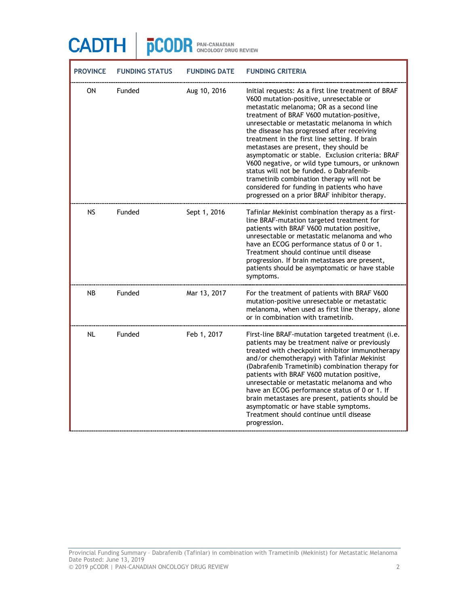| <b>PROVINCE</b> | <b>FUNDING STATUS</b> | <b>FUNDING DATE</b> | <b>FUNDING CRITERIA</b>                                                                                                                                                                                                                                                                                                                                                                                                                                                                                                                                                                                                                                                           |
|-----------------|-----------------------|---------------------|-----------------------------------------------------------------------------------------------------------------------------------------------------------------------------------------------------------------------------------------------------------------------------------------------------------------------------------------------------------------------------------------------------------------------------------------------------------------------------------------------------------------------------------------------------------------------------------------------------------------------------------------------------------------------------------|
| ON              | Funded                | Aug 10, 2016        | Initial requests: As a first line treatment of BRAF<br>V600 mutation-positive, unresectable or<br>metastatic melanoma; OR as a second line<br>treatment of BRAF V600 mutation-positive,<br>unresectable or metastatic melanoma in which<br>the disease has progressed after receiving<br>treatment in the first line setting. If brain<br>metastases are present, they should be<br>asymptomatic or stable. Exclusion criteria: BRAF<br>V600 negative, or wild type tumours, or unknown<br>status will not be funded. o Dabrafenib-<br>trametinib combination therapy will not be<br>considered for funding in patients who have<br>progressed on a prior BRAF inhibitor therapy. |
| <b>NS</b>       | Funded                | Sept 1, 2016        | Tafinlar Mekinist combination therapy as a first-<br>line BRAF-mutation targeted treatment for<br>patients with BRAF V600 mutation positive,<br>unresectable or metastatic melanoma and who<br>have an ECOG performance status of 0 or 1.<br>Treatment should continue until disease<br>progression. If brain metastases are present,<br>patients should be asymptomatic or have stable<br>symptoms.                                                                                                                                                                                                                                                                              |
| <b>NB</b>       | Funded                | Mar 13, 2017        | For the treatment of patients with BRAF V600<br>mutation-positive unresectable or metastatic<br>melanoma, when used as first line therapy, alone<br>or in combination with trametinib.                                                                                                                                                                                                                                                                                                                                                                                                                                                                                            |
| <b>NL</b>       | Funded                | Feb 1, 2017         | First-line BRAF-mutation targeted treatment (i.e.<br>patients may be treatment naïve or previously<br>treated with checkpoint inhibitor immunotherapy<br>and/or chemotherapy) with Tafinlar Mekinist<br>(Dabrafenib Trametinib) combination therapy for<br>patients with BRAF V600 mutation positive,<br>unresectable or metastatic melanoma and who<br>have an ECOG performance status of 0 or 1. If<br>brain metastases are present, patients should be<br>asymptomatic or have stable symptoms.<br>Treatment should continue until disease<br>progression.                                                                                                                     |